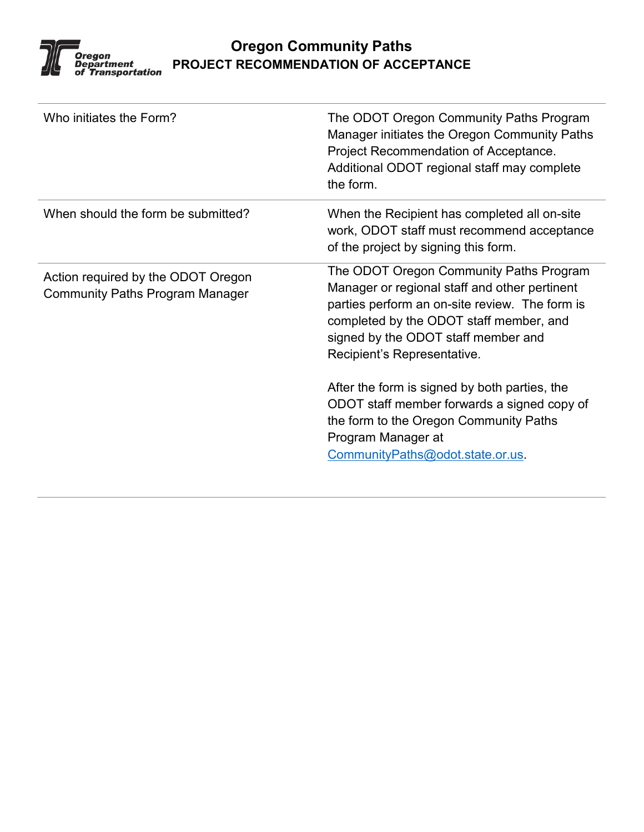

## **Oregon Community Paths PROJECT RECOMMENDATION OF ACCEPTANCE**

| Who initiates the Form?                                                      | The ODOT Oregon Community Paths Program<br>Manager initiates the Oregon Community Paths<br>Project Recommendation of Acceptance.<br>Additional ODOT regional staff may complete<br>the form.                                                                                                                                                                                                                                                                    |  |
|------------------------------------------------------------------------------|-----------------------------------------------------------------------------------------------------------------------------------------------------------------------------------------------------------------------------------------------------------------------------------------------------------------------------------------------------------------------------------------------------------------------------------------------------------------|--|
| When should the form be submitted?                                           | When the Recipient has completed all on-site<br>work, ODOT staff must recommend acceptance<br>of the project by signing this form.                                                                                                                                                                                                                                                                                                                              |  |
| Action required by the ODOT Oregon<br><b>Community Paths Program Manager</b> | The ODOT Oregon Community Paths Program<br>Manager or regional staff and other pertinent<br>parties perform an on-site review. The form is<br>completed by the ODOT staff member, and<br>signed by the ODOT staff member and<br>Recipient's Representative.<br>After the form is signed by both parties, the<br>ODOT staff member forwards a signed copy of<br>the form to the Oregon Community Paths<br>Program Manager at<br>CommunityPaths@odot.state.or.us. |  |